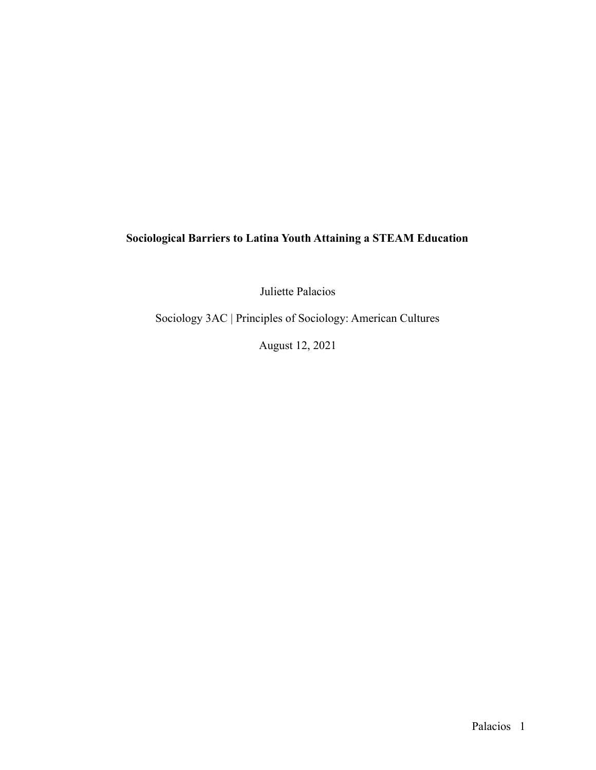# **Sociological Barriers to Latina Youth Attaining a STEAM Education**

Juliette Palacios

Sociology 3AC | Principles of Sociology: American Cultures

August 12, 2021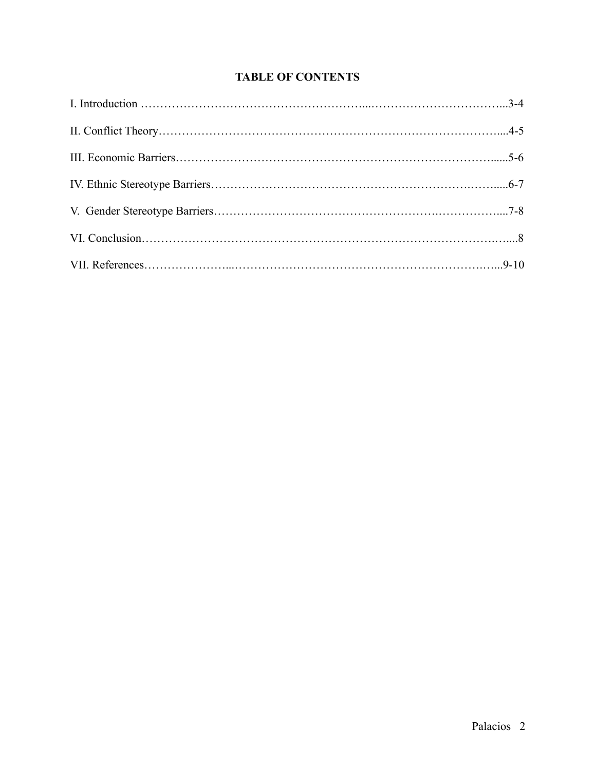# **TABLE OF CONTENTS**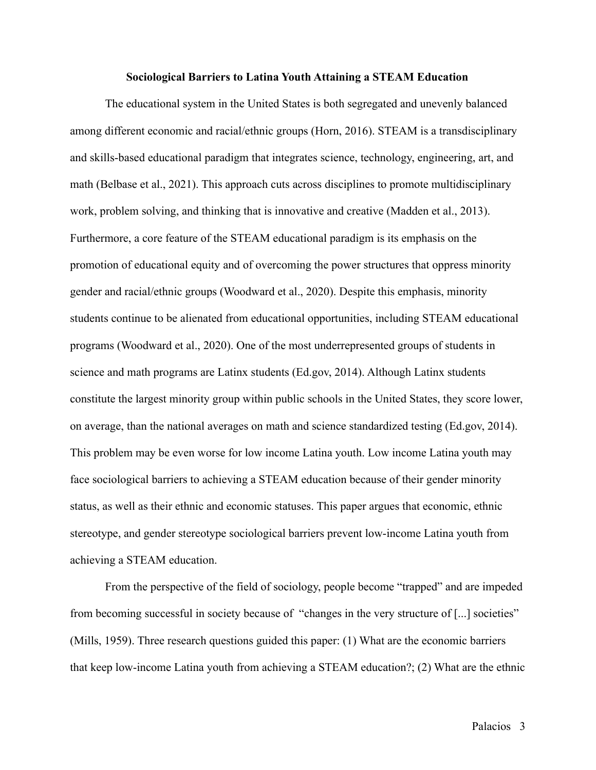#### **Sociological Barriers to Latina Youth Attaining a STEAM Education**

The educational system in the United States is both segregated and unevenly balanced among different economic and racial/ethnic groups (Horn, 2016). STEAM is a transdisciplinary and skills-based educational paradigm that integrates science, technology, engineering, art, and math (Belbase et al., 2021). This approach cuts across disciplines to promote multidisciplinary work, problem solving, and thinking that is innovative and creative (Madden et al., 2013). Furthermore, a core feature of the STEAM educational paradigm is its emphasis on the promotion of educational equity and of overcoming the power structures that oppress minority gender and racial/ethnic groups (Woodward et al., 2020). Despite this emphasis, minority students continue to be alienated from educational opportunities, including STEAM educational programs (Woodward et al., 2020). One of the most underrepresented groups of students in science and math programs are Latinx students (Ed.gov, 2014). Although Latinx students constitute the largest minority group within public schools in the United States, they score lower, on average, than the national averages on math and science standardized testing (Ed.gov, 2014). This problem may be even worse for low income Latina youth. Low income Latina youth may face sociological barriers to achieving a STEAM education because of their gender minority status, as well as their ethnic and economic statuses. This paper argues that economic, ethnic stereotype, and gender stereotype sociological barriers prevent low-income Latina youth from achieving a STEAM education.

From the perspective of the field of sociology, people become "trapped" and are impeded from becoming successful in society because of "changes in the very structure of [...] societies" (Mills, 1959). Three research questions guided this paper: (1) What are the economic barriers that keep low-income Latina youth from achieving a STEAM education?; (2) What are the ethnic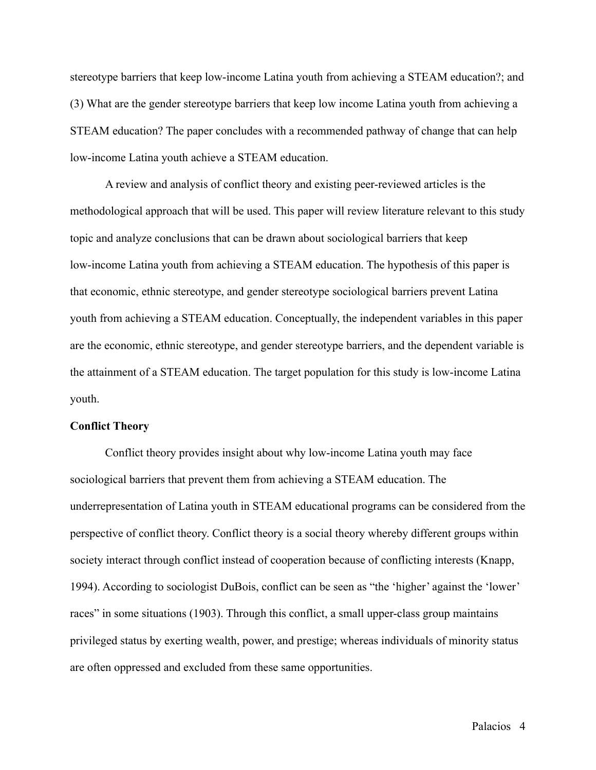stereotype barriers that keep low-income Latina youth from achieving a STEAM education?; and (3) What are the gender stereotype barriers that keep low income Latina youth from achieving a STEAM education? The paper concludes with a recommended pathway of change that can help low-income Latina youth achieve a STEAM education.

A review and analysis of conflict theory and existing peer-reviewed articles is the methodological approach that will be used. This paper will review literature relevant to this study topic and analyze conclusions that can be drawn about sociological barriers that keep low-income Latina youth from achieving a STEAM education. The hypothesis of this paper is that economic, ethnic stereotype, and gender stereotype sociological barriers prevent Latina youth from achieving a STEAM education. Conceptually, the independent variables in this paper are the economic, ethnic stereotype, and gender stereotype barriers, and the dependent variable is the attainment of a STEAM education. The target population for this study is low-income Latina youth.

## **Conflict Theory**

Conflict theory provides insight about why low-income Latina youth may face sociological barriers that prevent them from achieving a STEAM education. The underrepresentation of Latina youth in STEAM educational programs can be considered from the perspective of conflict theory. Conflict theory is a social theory whereby different groups within society interact through conflict instead of cooperation because of conflicting interests (Knapp, 1994). According to sociologist DuBois, conflict can be seen as "the 'higher' against the 'lower' races" in some situations (1903). Through this conflict, a small upper-class group maintains privileged status by exerting wealth, power, and prestige; whereas individuals of minority status are often oppressed and excluded from these same opportunities.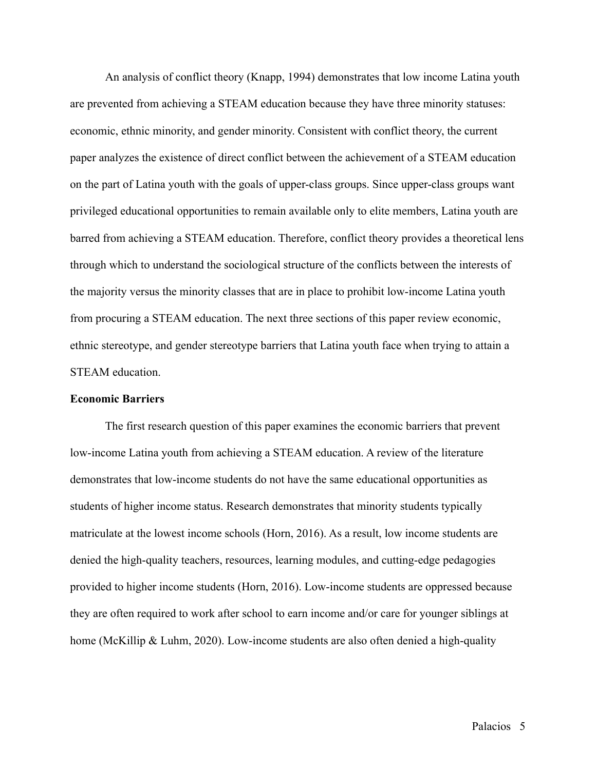An analysis of conflict theory (Knapp, 1994) demonstrates that low income Latina youth are prevented from achieving a STEAM education because they have three minority statuses: economic, ethnic minority, and gender minority. Consistent with conflict theory, the current paper analyzes the existence of direct conflict between the achievement of a STEAM education on the part of Latina youth with the goals of upper-class groups. Since upper-class groups want privileged educational opportunities to remain available only to elite members, Latina youth are barred from achieving a STEAM education. Therefore, conflict theory provides a theoretical lens through which to understand the sociological structure of the conflicts between the interests of the majority versus the minority classes that are in place to prohibit low-income Latina youth from procuring a STEAM education. The next three sections of this paper review economic, ethnic stereotype, and gender stereotype barriers that Latina youth face when trying to attain a STEAM education.

### **Economic Barriers**

The first research question of this paper examines the economic barriers that prevent low-income Latina youth from achieving a STEAM education. A review of the literature demonstrates that low-income students do not have the same educational opportunities as students of higher income status. Research demonstrates that minority students typically matriculate at the lowest income schools (Horn, 2016). As a result, low income students are denied the high-quality teachers, resources, learning modules, and cutting-edge pedagogies provided to higher income students (Horn, 2016). Low-income students are oppressed because they are often required to work after school to earn income and/or care for younger siblings at home (McKillip & Luhm, 2020). Low-income students are also often denied a high-quality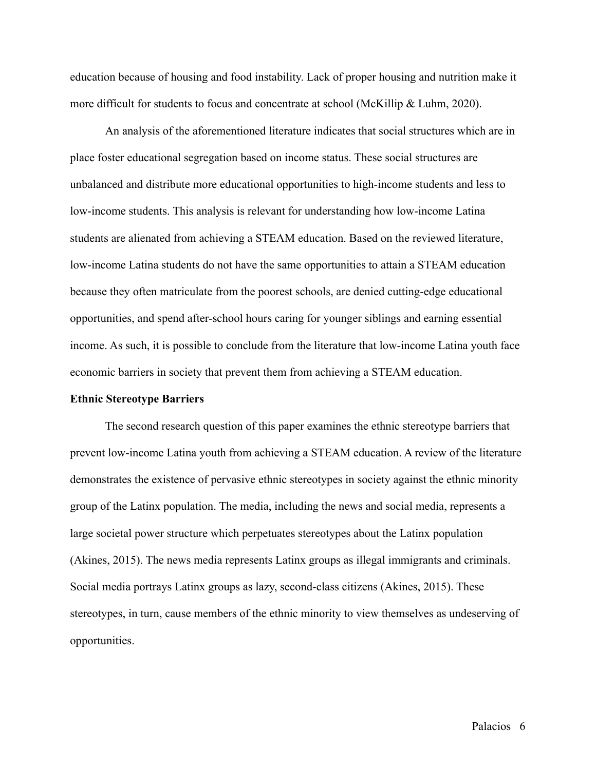education because of housing and food instability. Lack of proper housing and nutrition make it more difficult for students to focus and concentrate at school (McKillip  $\&$  Luhm, 2020).

An analysis of the aforementioned literature indicates that social structures which are in place foster educational segregation based on income status. These social structures are unbalanced and distribute more educational opportunities to high-income students and less to low-income students. This analysis is relevant for understanding how low-income Latina students are alienated from achieving a STEAM education. Based on the reviewed literature, low-income Latina students do not have the same opportunities to attain a STEAM education because they often matriculate from the poorest schools, are denied cutting-edge educational opportunities, and spend after-school hours caring for younger siblings and earning essential income. As such, it is possible to conclude from the literature that low-income Latina youth face economic barriers in society that prevent them from achieving a STEAM education.

### **Ethnic Stereotype Barriers**

The second research question of this paper examines the ethnic stereotype barriers that prevent low-income Latina youth from achieving a STEAM education. A review of the literature demonstrates the existence of pervasive ethnic stereotypes in society against the ethnic minority group of the Latinx population. The media, including the news and social media, represents a large societal power structure which perpetuates stereotypes about the Latinx population (Akines, 2015). The news media represents Latinx groups as illegal immigrants and criminals. Social media portrays Latinx groups as lazy, second-class citizens (Akines, 2015). These stereotypes, in turn, cause members of the ethnic minority to view themselves as undeserving of opportunities.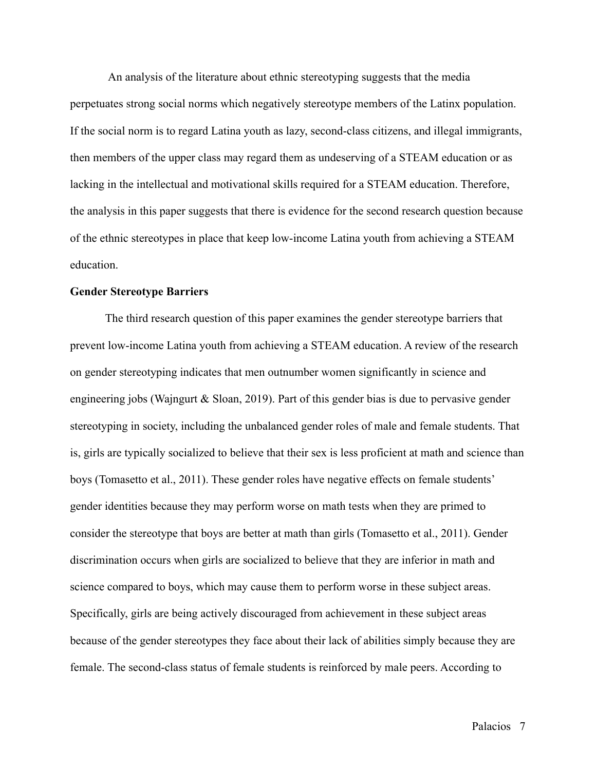An analysis of the literature about ethnic stereotyping suggests that the media perpetuates strong social norms which negatively stereotype members of the Latinx population. If the social norm is to regard Latina youth as lazy, second-class citizens, and illegal immigrants, then members of the upper class may regard them as undeserving of a STEAM education or as lacking in the intellectual and motivational skills required for a STEAM education. Therefore, the analysis in this paper suggests that there is evidence for the second research question because of the ethnic stereotypes in place that keep low-income Latina youth from achieving a STEAM education.

## **Gender Stereotype Barriers**

The third research question of this paper examines the gender stereotype barriers that prevent low-income Latina youth from achieving a STEAM education. A review of the research on gender stereotyping indicates that men outnumber women significantly in science and engineering jobs (Wajngurt & Sloan, 2019). Part of this gender bias is due to pervasive gender stereotyping in society, including the unbalanced gender roles of male and female students. That is, girls are typically socialized to believe that their sex is less proficient at math and science than boys (Tomasetto et al., 2011). These gender roles have negative effects on female students' gender identities because they may perform worse on math tests when they are primed to consider the stereotype that boys are better at math than girls (Tomasetto et al., 2011). Gender discrimination occurs when girls are socialized to believe that they are inferior in math and science compared to boys, which may cause them to perform worse in these subject areas. Specifically, girls are being actively discouraged from achievement in these subject areas because of the gender stereotypes they face about their lack of abilities simply because they are female. The second-class status of female students is reinforced by male peers. According to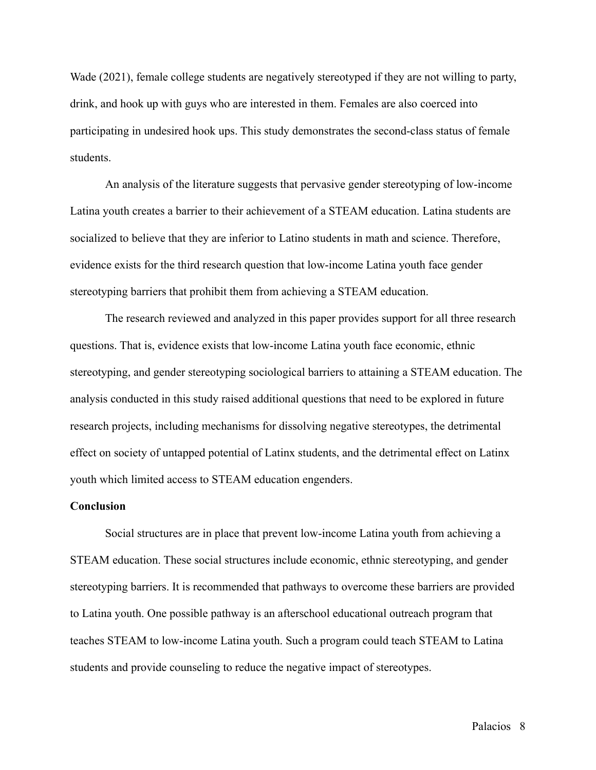Wade (2021), female college students are negatively stereotyped if they are not willing to party, drink, and hook up with guys who are interested in them. Females are also coerced into participating in undesired hook ups. This study demonstrates the second-class status of female students.

An analysis of the literature suggests that pervasive gender stereotyping of low-income Latina youth creates a barrier to their achievement of a STEAM education. Latina students are socialized to believe that they are inferior to Latino students in math and science. Therefore, evidence exists for the third research question that low-income Latina youth face gender stereotyping barriers that prohibit them from achieving a STEAM education.

The research reviewed and analyzed in this paper provides support for all three research questions. That is, evidence exists that low-income Latina youth face economic, ethnic stereotyping, and gender stereotyping sociological barriers to attaining a STEAM education. The analysis conducted in this study raised additional questions that need to be explored in future research projects, including mechanisms for dissolving negative stereotypes, the detrimental effect on society of untapped potential of Latinx students, and the detrimental effect on Latinx youth which limited access to STEAM education engenders.

## **Conclusion**

Social structures are in place that prevent low-income Latina youth from achieving a STEAM education. These social structures include economic, ethnic stereotyping, and gender stereotyping barriers. It is recommended that pathways to overcome these barriers are provided to Latina youth. One possible pathway is an afterschool educational outreach program that teaches STEAM to low-income Latina youth. Such a program could teach STEAM to Latina students and provide counseling to reduce the negative impact of stereotypes.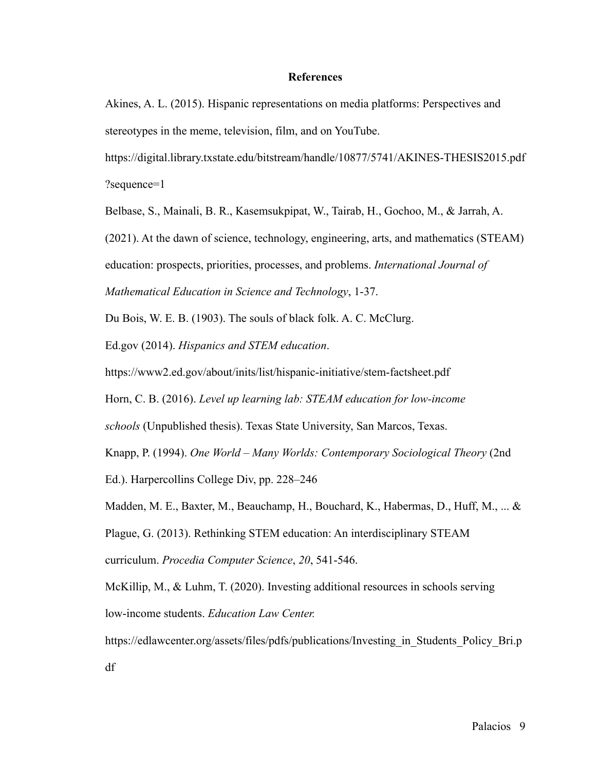## **References**

Akines, A. L. (2015). Hispanic representations on media platforms: Perspectives and stereotypes in the meme, television, film, and on YouTube.

[https://digital.library.txstate.edu/bitstream/handle/10877/5741/AKINES-THESIS2015.pdf](https://digital.library.txstate.edu/bitstream/handle/10877/5741/AKINES-THESIS2015.pdf?sequence=1) [?sequence=1](https://digital.library.txstate.edu/bitstream/handle/10877/5741/AKINES-THESIS2015.pdf?sequence=1)

Belbase, S., Mainali, B. R., Kasemsukpipat, W., Tairab, H., Gochoo, M., & Jarrah, A.

(2021). At the dawn of science, technology, engineering, arts, and mathematics (STEAM)

education: prospects, priorities, processes, and problems. *International Journal of*

*Mathematical Education in Science and Technology*, 1-37.

Du Bois, W. E. B. (1903). The souls of black folk. A. C. McClurg.

Ed.gov (2014). *Hispanics and STEM education*.

<https://www2.ed.gov/about/inits/list/hispanic-initiative/stem-factsheet.pdf>

Horn, C. B. (2016). *Level up learning lab: STEAM education for low-income*

*schools* (Unpublished thesis). Texas State University, San Marcos, Texas.

Knapp, P. (1994). *One World – Many Worlds: Contemporary Sociological Theory* (2nd

Ed.). Harpercollins College Div, pp. 228–246

Madden, M. E., Baxter, M., Beauchamp, H., Bouchard, K., Habermas, D., Huff, M., ... & Plague, G. (2013). Rethinking STEM education: An interdisciplinary STEAM

curriculum. *Procedia Computer Science*, *20*, 541-546.

McKillip, M., & Luhm, T. (2020). Investing additional resources in schools serving low-income students. *Education Law Center.*

https://edlawcenter.org/assets/files/pdfs/publications/Investing in Students Policy Bri.p [df](https://edlawcenter.org/assets/files/pdfs/publications/Investing_in_Students_Policy_Bri.pdf)